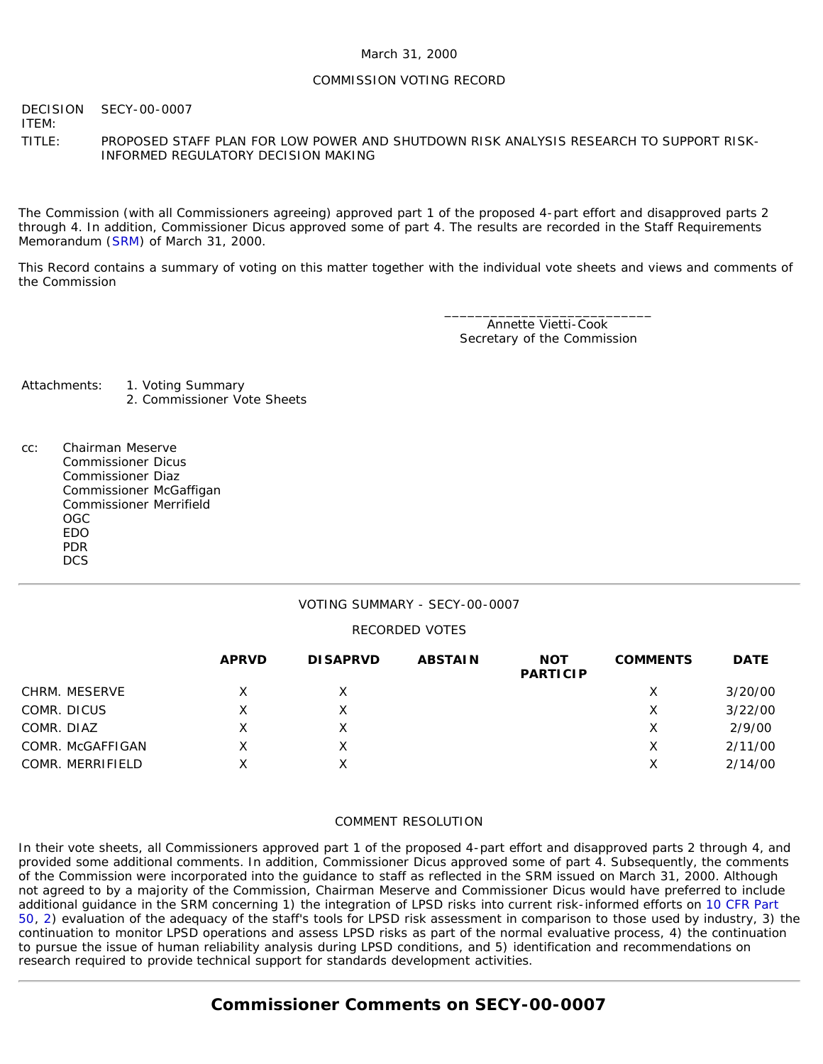### March 31, 2000

#### COMMISSION VOTING RECORD

DECISION SECY-00-0007

ITEM:

TITLE: PROPOSED STAFF PLAN FOR LOW POWER AND SHUTDOWN RISK ANALYSIS RESEARCH TO SUPPORT RISK-INFORMED REGULATORY DECISION MAKING

The Commission (with all Commissioners agreeing) approved part 1 of the proposed 4-part effort and disapproved parts 2 through 4. In addition, Commissioner Dicus approved some of part 4. The results are recorded in the Staff Requirements Memorandum ([SRM\)](http://www.nrc.gov/reading-rm/doc-collections/commission/srm/2000/2000-0007srm.html) of March 31, 2000.

This Record contains a summary of voting on this matter together with the individual vote sheets and views and comments of the Commission

> \_\_\_\_\_\_\_\_\_\_\_\_\_\_\_\_\_\_\_\_\_\_\_\_\_\_\_ Annette Vietti-Cook Secretary of the Commission

Attachments: 1. Voting Summary 2. Commissioner Vote Sheets

cc: Chairman Meserve Commissioner Dicus Commissioner Diaz Commissioner McGaffigan Commissioner Merrifield OGC EDO PDR **DCS** 

### VOTING SUMMARY - SECY-00-0007

#### RECORDED VOTES

|                  | <b>APRVD</b> | <b>DISAPRVD</b> | <b>ABSTAIN</b> | <b>NOT</b><br><b>PARTICIP</b> | <b>COMMENTS</b> | <b>DATE</b> |
|------------------|--------------|-----------------|----------------|-------------------------------|-----------------|-------------|
| CHRM. MESERVE    | X            |                 |                |                               |                 | 3/20/00     |
| COMR. DICUS      | Χ            |                 |                |                               | X               | 3/22/00     |
| COMR. DIAZ       |              |                 |                |                               | х               | 2/9/00      |
| COMR. McGAFFIGAN | Χ            |                 |                |                               | Х               | 2/11/00     |
| COMR. MERRIFIELD | Χ            |                 |                |                               | Х               | 2/14/00     |

#### COMMENT RESOLUTION

In their vote sheets, all Commissioners approved part 1 of the proposed 4-part effort and disapproved parts 2 through 4, and provided some additional comments. In addition, Commissioner Dicus approved some of part 4. Subsequently, the comments of the Commission were incorporated into the guidance to staff as reflected in the SRM issued on March 31, 2000. Although not agreed to by a majority of the Commission, Chairman Meserve and Commissioner Dicus would have preferred to include additional guidance in the SRM concerning 1) the integration of LPSD risks into current risk-informed efforts on [10 CFR Part](http://www.nrc.gov/reading-rm/doc-collections/cfr/part050/index.html) [50,](http://www.nrc.gov/reading-rm/doc-collections/cfr/part050/index.html) [2\)](http://www.nrc.gov/reading-rm/doc-collections/cfr/part002/index.html) evaluation of the adequacy of the staff's tools for LPSD risk assessment in comparison to those used by industry, 3) the continuation to monitor LPSD operations and assess LPSD risks as part of the normal evaluative process, 4) the continuation to pursue the issue of human reliability analysis during LPSD conditions, and 5) identification and recommendations on research required to provide technical support for standards development activities.

## **Commissioner Comments on SECY-00-0007**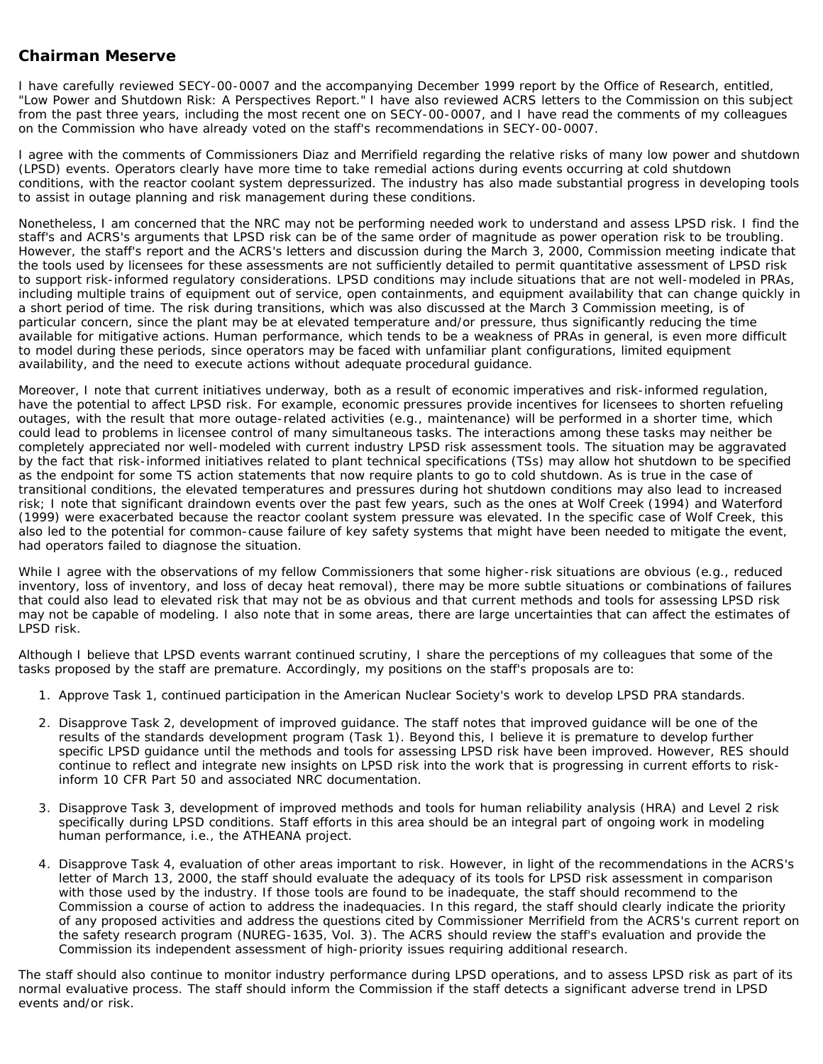## **Chairman Meserve**

I have carefully reviewed SECY-00-0007 and the accompanying December 1999 report by the Office of Research, entitled, "Low Power and Shutdown Risk: A Perspectives Report." I have also reviewed ACRS letters to the Commission on this subject from the past three years, including the most recent one on SECY-00-0007, and I have read the comments of my colleagues on the Commission who have already voted on the staff's recommendations in SECY-00-0007.

I agree with the comments of Commissioners Diaz and Merrifield regarding the relative risks of many low power and shutdown (LPSD) events. Operators clearly have more time to take remedial actions during events occurring at cold shutdown conditions, with the reactor coolant system depressurized. The industry has also made substantial progress in developing tools to assist in outage planning and risk management during these conditions.

Nonetheless, I am concerned that the NRC may not be performing needed work to understand and assess LPSD risk. I find the staff's and ACRS's arguments that LPSD risk can be of the same order of magnitude as power operation risk to be troubling. However, the staff's report and the ACRS's letters and discussion during the March 3, 2000, Commission meeting indicate that the tools used by licensees for these assessments are not sufficiently detailed to permit quantitative assessment of LPSD risk to support risk-informed regulatory considerations. LPSD conditions may include situations that are not well-modeled in PRAs, including multiple trains of equipment out of service, open containments, and equipment availability that can change quickly in a short period of time. The risk during transitions, which was also discussed at the March 3 Commission meeting, is of particular concern, since the plant may be at elevated temperature and/or pressure, thus significantly reducing the time available for mitigative actions. Human performance, which tends to be a weakness of PRAs in general, is even more difficult to model during these periods, since operators may be faced with unfamiliar plant configurations, limited equipment availability, and the need to execute actions without adequate procedural guidance.

Moreover, I note that current initiatives underway, both as a result of economic imperatives and risk-informed regulation, have the potential to affect LPSD risk. For example, economic pressures provide incentives for licensees to shorten refueling outages, with the result that more outage-related activities (e.g., maintenance) will be performed in a shorter time, which could lead to problems in licensee control of many simultaneous tasks. The interactions among these tasks may neither be completely appreciated nor well-modeled with current industry LPSD risk assessment tools. The situation may be aggravated by the fact that risk-informed initiatives related to plant technical specifications (TSs) may allow hot shutdown to be specified as the endpoint for some TS action statements that now require plants to go to cold shutdown. As is true in the case of transitional conditions, the elevated temperatures and pressures during hot shutdown conditions may also lead to increased risk; I note that significant draindown events over the past few years, such as the ones at Wolf Creek (1994) and Waterford (1999) were exacerbated because the reactor coolant system pressure was elevated. In the specific case of Wolf Creek, this also led to the potential for common-cause failure of key safety systems that might have been needed to mitigate the event, had operators failed to diagnose the situation.

While I agree with the observations of my fellow Commissioners that some higher-risk situations are obvious (e.g., reduced inventory, loss of inventory, and loss of decay heat removal), there may be more subtle situations or combinations of failures that could also lead to elevated risk that may not be as obvious and that current methods and tools for assessing LPSD risk may not be capable of modeling. I also note that in some areas, there are large uncertainties that can affect the estimates of LPSD risk.

Although I believe that LPSD events warrant continued scrutiny, I share the perceptions of my colleagues that some of the tasks proposed by the staff are premature. Accordingly, my positions on the staff's proposals are to:

- 1. Approve Task 1, continued participation in the American Nuclear Society's work to develop LPSD PRA standards.
- 2. Disapprove Task 2, development of improved guidance. The staff notes that improved guidance will be one of the results of the standards development program (Task 1). Beyond this, I believe it is premature to develop further specific LPSD guidance until the methods and tools for assessing LPSD risk have been improved. However, RES should continue to reflect and integrate new insights on LPSD risk into the work that is progressing in current efforts to riskinform 10 CFR Part 50 and associated NRC documentation.
- 3. Disapprove Task 3, development of improved methods and tools for human reliability analysis (HRA) and Level 2 risk specifically during LPSD conditions. Staff efforts in this area should be an integral part of ongoing work in modeling human performance, i.e., the ATHEANA project.
- 4. Disapprove Task 4, evaluation of other areas important to risk. However, in light of the recommendations in the ACRS's letter of March 13, 2000, the staff should evaluate the adequacy of its tools for LPSD risk assessment in comparison with those used by the industry. If those tools are found to be inadequate, the staff should recommend to the Commission a course of action to address the inadequacies. In this regard, the staff should clearly indicate the priority of any proposed activities and address the questions cited by Commissioner Merrifield from the ACRS's current report on the safety research program (NUREG-1635, Vol. 3). The ACRS should review the staff's evaluation and provide the Commission its independent assessment of high-priority issues requiring additional research.

The staff should also continue to monitor industry performance during LPSD operations, and to assess LPSD risk as part of its normal evaluative process. The staff should inform the Commission if the staff detects a significant adverse trend in LPSD events and/or risk.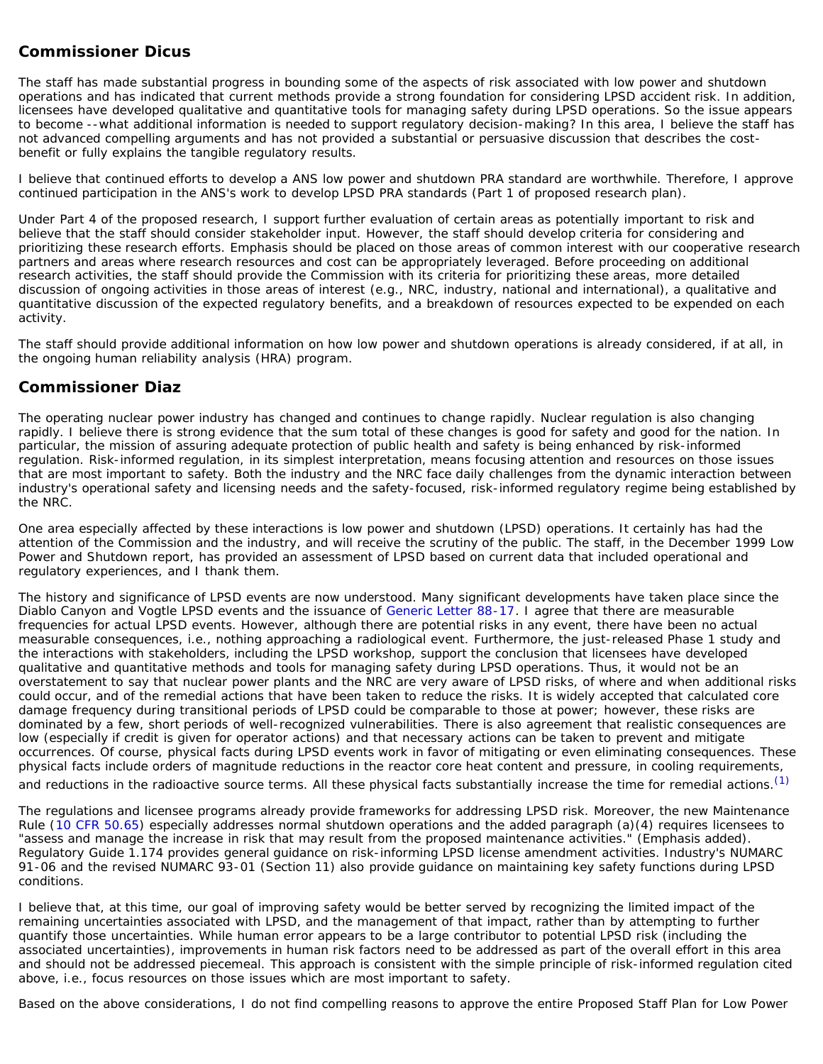## **Commissioner Dicus**

The staff has made substantial progress in bounding some of the aspects of risk associated with low power and shutdown operations and has indicated that current methods provide a strong foundation for considering LPSD accident risk. In addition, licensees have developed qualitative and quantitative tools for managing safety during LPSD operations. So the issue appears to become --what additional information is needed to support regulatory decision-making? In this area, I believe the staff has not advanced compelling arguments and has not provided a substantial or persuasive discussion that describes the costbenefit or fully explains the tangible regulatory results.

I believe that continued efforts to develop a ANS low power and shutdown PRA standard are worthwhile. Therefore, I approve continued participation in the ANS's work to develop LPSD PRA standards (Part 1 of proposed research plan).

Under Part 4 of the proposed research, I support further evaluation of certain areas as potentially important to risk and believe that the staff should consider stakeholder input. However, the staff should develop criteria for considering and prioritizing these research efforts. Emphasis should be placed on those areas of common interest with our cooperative research partners and areas where research resources and cost can be appropriately leveraged. Before proceeding on additional research activities, the staff should provide the Commission with its criteria for prioritizing these areas, more detailed discussion of ongoing activities in those areas of interest (e.g., NRC, industry, national and international), a qualitative and quantitative discussion of the expected regulatory benefits, and a breakdown of resources expected to be expended on each activity.

The staff should provide additional information on how low power and shutdown operations is already considered, if at all, in the ongoing human reliability analysis (HRA) program.

# **Commissioner Diaz**

The operating nuclear power industry has changed and continues to change rapidly. Nuclear regulation is also changing rapidly. I believe there is strong evidence that the sum total of these changes is good for safety and good for the nation. In particular, the mission of assuring adequate protection of public health and safety is being enhanced by risk-informed regulation. Risk-informed regulation, in its simplest interpretation, means focusing attention and resources on those issues that are most important to safety. Both the industry and the NRC face daily challenges from the dynamic interaction between industry's operational safety and licensing needs and the safety-focused, risk-informed regulatory regime being established by the NRC.

One area especially affected by these interactions is low power and shutdown (LPSD) operations. It certainly has had the attention of the Commission and the industry, and will receive the scrutiny of the public. The staff, in the December 1999 Low Power and Shutdown report, has provided an assessment of LPSD based on current data that included operational and regulatory experiences, and I thank them.

The history and significance of LPSD events are now understood. Many significant developments have taken place since the Diablo Canyon and Vogtle LPSD events and the issuance of [Generic Letter 88-17.](http://www.nrc.gov/reading-rm/doc-collections/gen-comm/gen-letters/1988/gl88017.html) I agree that there are measurable frequencies for actual LPSD events. However, although there are potential risks in any event, there have been no actual measurable consequences, i.e., nothing approaching a radiological event. Furthermore, the just-released Phase 1 study and the interactions with stakeholders, including the LPSD workshop, support the conclusion that licensees have developed qualitative and quantitative methods and tools for managing safety during LPSD operations. Thus, it would not be an overstatement to say that nuclear power plants and the NRC are very aware of LPSD risks, of where and when additional risks could occur, and of the remedial actions that have been taken to reduce the risks. It is widely accepted that calculated core damage frequency during transitional periods of LPSD could be comparable to those at power; however, these risks are dominated by a few, short periods of well-recognized vulnerabilities. There is also agreement that realistic consequences are low (especially if credit is given for operator actions) and that necessary actions can be taken to prevent and mitigate occurrences. Of course, physical facts during LPSD events work in favor of mitigating or even eliminating consequences. These physical facts include orders of magnitude reductions in the reactor core heat content and pressure, in cooling requirements, and reductions in the radioactive source terms. All these physical facts substantially increase the time for remedial actions. [\(1\)](#page-4-0)

The regulations and licensee programs already provide frameworks for addressing LPSD risk. Moreover, the new Maintenance Rule ([10 CFR 50.65\)](http://www.nrc.gov/reading-rm/doc-collections/cfr/part050/part050-0065.html) especially addresses normal shutdown operations and the added paragraph (a)(4) requires licensees to "assess and manage the increase in risk that may result from the proposed maintenance activities." (Emphasis added). Regulatory Guide 1.174 provides general guidance on risk-informing LPSD license amendment activities. Industry's NUMARC 91-06 and the revised NUMARC 93-01 (Section 11) also provide guidance on maintaining key safety functions during LPSD conditions.

I believe that, at this time, our goal of improving safety would be better served by recognizing the limited impact of the remaining uncertainties associated with LPSD, and the management of that impact, rather than by attempting to further quantify those uncertainties. While human error appears to be a large contributor to potential LPSD risk (including the associated uncertainties), improvements in human risk factors need to be addressed as part of the overall effort in this area and should not be addressed piecemeal. This approach is consistent with the simple principle of risk-informed regulation cited above, i.e., focus resources on those issues which are most important to safety.

Based on the above considerations, I do not find compelling reasons to approve the entire Proposed Staff Plan for Low Power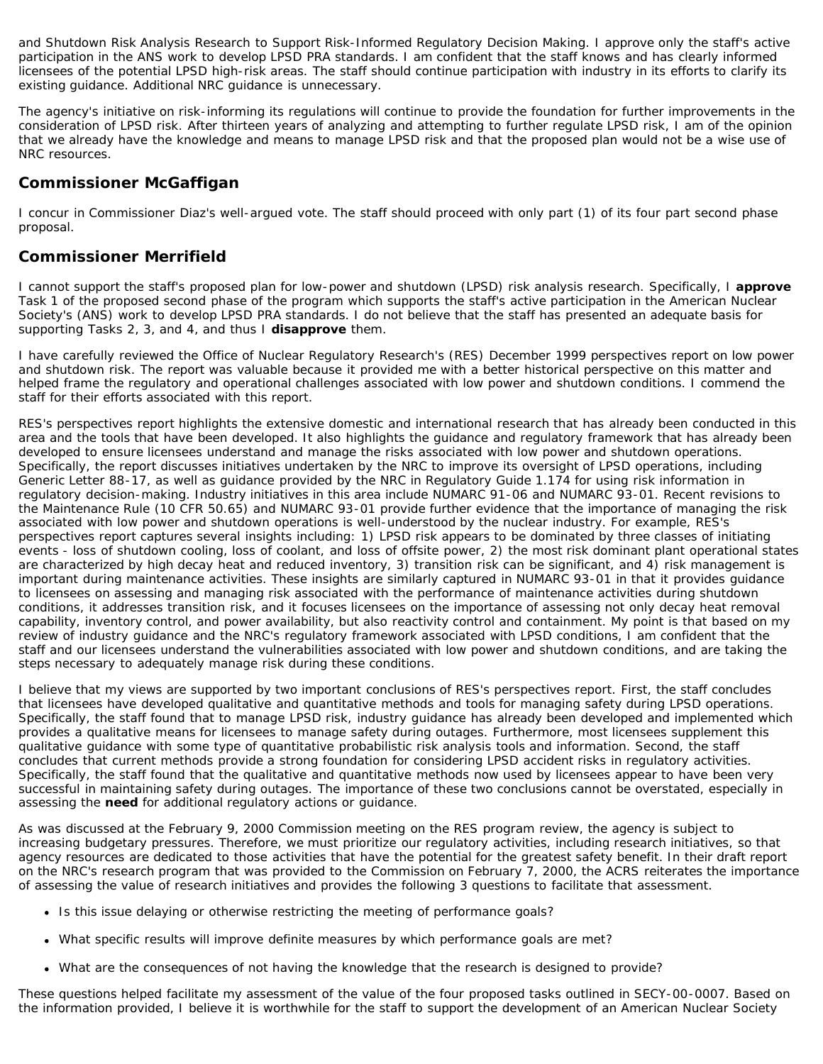and Shutdown Risk Analysis Research to Support Risk-Informed Regulatory Decision Making. I approve only the staff's active participation in the ANS work to develop LPSD PRA standards. I am confident that the staff knows and has clearly informed licensees of the potential LPSD high-risk areas. The staff should continue participation with industry in its efforts to clarify its existing guidance. Additional NRC guidance is unnecessary.

The agency's initiative on risk-informing its regulations will continue to provide the foundation for further improvements in the consideration of LPSD risk. After thirteen years of analyzing and attempting to further regulate LPSD risk, I am of the opinion that we already have the knowledge and means to manage LPSD risk and that the proposed plan would not be a wise use of NRC resources.

# **Commissioner McGaffigan**

I concur in Commissioner Diaz's well-argued vote. The staff should proceed with only part (1) of its four part second phase proposal.

## **Commissioner Merrifield**

I cannot support the staff's proposed plan for low-power and shutdown (LPSD) risk analysis research. Specifically, I **approve** Task 1 of the proposed second phase of the program which supports the staff's active participation in the American Nuclear Society's (ANS) work to develop LPSD PRA standards. I do not believe that the staff has presented an adequate basis for supporting Tasks 2, 3, and 4, and thus I **disapprove** them.

I have carefully reviewed the Office of Nuclear Regulatory Research's (RES) December 1999 perspectives report on low power and shutdown risk. The report was valuable because it provided me with a better historical perspective on this matter and helped frame the regulatory and operational challenges associated with low power and shutdown conditions. I commend the staff for their efforts associated with this report.

RES's perspectives report highlights the extensive domestic and international research that has already been conducted in this area and the tools that have been developed. It also highlights the guidance and regulatory framework that has already been developed to ensure licensees understand and manage the risks associated with low power and shutdown operations. Specifically, the report discusses initiatives undertaken by the NRC to improve its oversight of LPSD operations, including Generic Letter 88-17, as well as guidance provided by the NRC in Regulatory Guide 1.174 for using risk information in regulatory decision-making. Industry initiatives in this area include NUMARC 91-06 and NUMARC 93-01. Recent revisions to the Maintenance Rule (10 CFR 50.65) and NUMARC 93-01 provide further evidence that the importance of managing the risk associated with low power and shutdown operations is well-understood by the nuclear industry. For example, RES's perspectives report captures several insights including: 1) LPSD risk appears to be dominated by three classes of initiating events - loss of shutdown cooling, loss of coolant, and loss of offsite power, 2) the most risk dominant plant operational states are characterized by high decay heat and reduced inventory, 3) transition risk can be significant, and 4) risk management is important during maintenance activities. These insights are similarly captured in NUMARC 93-01 in that it provides guidance to licensees on assessing and managing risk associated with the performance of maintenance activities during shutdown conditions, it addresses transition risk, and it focuses licensees on the importance of assessing not only decay heat removal capability, inventory control, and power availability, but also reactivity control and containment. My point is that based on my review of industry guidance and the NRC's regulatory framework associated with LPSD conditions, I am confident that the staff and our licensees understand the vulnerabilities associated with low power and shutdown conditions, and are taking the steps necessary to adequately manage risk during these conditions.

I believe that my views are supported by two important conclusions of RES's perspectives report. First, the staff concludes that licensees have developed qualitative and quantitative methods and tools for managing safety during LPSD operations. Specifically, the staff found that to manage LPSD risk, industry guidance has already been developed and implemented which provides a qualitative means for licensees to manage safety during outages. Furthermore, most licensees supplement this qualitative guidance with some type of quantitative probabilistic risk analysis tools and information. Second, the staff concludes that current methods provide a strong foundation for considering LPSD accident risks in regulatory activities. Specifically, the staff found that the qualitative and quantitative methods now used by licensees appear to have been very successful in maintaining safety during outages. The importance of these two conclusions cannot be overstated, especially in assessing the **need** for additional regulatory actions or guidance.

As was discussed at the February 9, 2000 Commission meeting on the RES program review, the agency is subject to increasing budgetary pressures. Therefore, we must prioritize our regulatory activities, including research initiatives, so that agency resources are dedicated to those activities that have the potential for the greatest safety benefit. In their draft report on the NRC's research program that was provided to the Commission on February 7, 2000, the ACRS reiterates the importance of assessing the value of research initiatives and provides the following 3 questions to facilitate that assessment.

- Is this issue delaying or otherwise restricting the meeting of performance goals?
- What specific results will improve definite measures by which performance goals are met?
- What are the consequences of not having the knowledge that the research is designed to provide?

These questions helped facilitate my assessment of the value of the four proposed tasks outlined in SECY-00-0007. Based on the information provided, I believe it is worthwhile for the staff to support the development of an American Nuclear Society